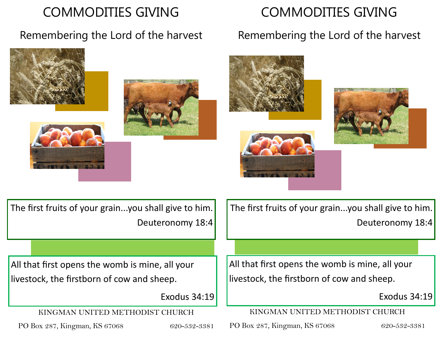## COMMODITIES GIVING

### Remembering the Lord of the harvest

# COMMODITIES GIVING

### Remembering the Lord of the harvest